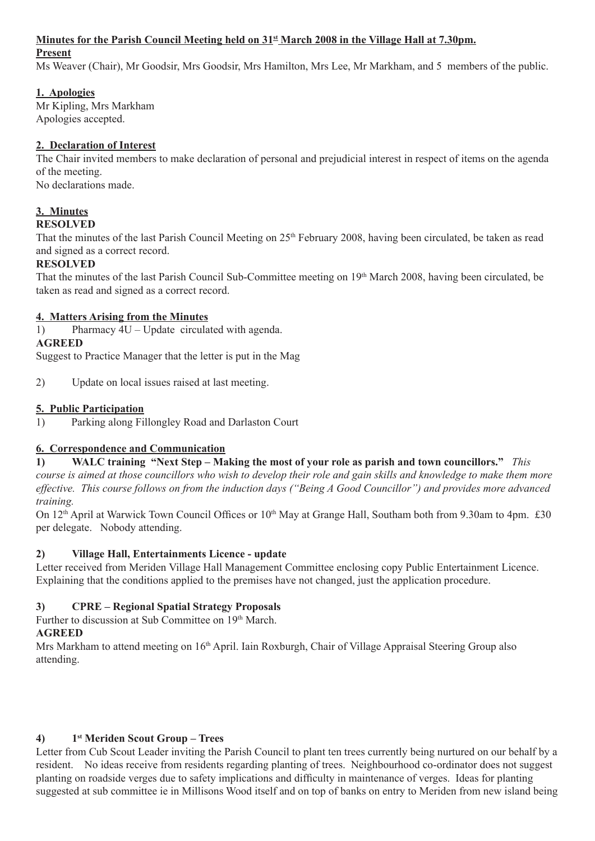#### **Minutes for the Parish Council Meeting held on 31st March 2008 in the Village Hall at 7.30pm.**

#### **Present**

Ms Weaver (Chair), Mr Goodsir, Mrs Goodsir, Mrs Hamilton, Mrs Lee, Mr Markham, and 5 members of the public.

### **1. Apologies**

Mr Kipling, Mrs Markham Apologies accepted.

### **2. Declaration of Interest**

The Chair invited members to make declaration of personal and prejudicial interest in respect of items on the agenda of the meeting.

No declarations made.

# **3. Minutes**

# **RESOLVED**

That the minutes of the last Parish Council Meeting on 25<sup>th</sup> February 2008, having been circulated, be taken as read and signed as a correct record.

### **RESOLVED**

That the minutes of the last Parish Council Sub-Committee meeting on 19th March 2008, having been circulated, be taken as read and signed as a correct record.

### **4. Matters Arising from the Minutes**

1) Pharmacy 4U – Update circulated with agenda.

### **AGREED**

Suggest to Practice Manager that the letter is put in the Mag

2) Update on local issues raised at last meeting.

# **5. Public Participation**

1) Parking along Fillongley Road and Darlaston Court

### **6. Correspondence and Communication**

**1) WALC training "Next Step – Making the most of your role as parish and town councillors."** *This course is aimed at those councillors who wish to develop their role and gain skills and knowledge to make them more effective. This course follows on from the induction days ("Being A Good Councillor") and provides more advanced training.*

On 12<sup>th</sup> April at Warwick Town Council Offices or 10<sup>th</sup> May at Grange Hall, Southam both from 9.30am to 4pm. £30 per delegate. Nobody attending.

### **2) Village Hall, Entertainments Licence - update**

Letter received from Meriden Village Hall Management Committee enclosing copy Public Entertainment Licence. Explaining that the conditions applied to the premises have not changed, just the application procedure.

# **3) CPRE – Regional Spatial Strategy Proposals**

Further to discussion at Sub Committee on 19<sup>th</sup> March.

# **AGREED**

Mrs Markham to attend meeting on 16<sup>th</sup> April. Iain Roxburgh, Chair of Village Appraisal Steering Group also attending.

# **4) 1st Meriden Scout Group – Trees**

Letter from Cub Scout Leader inviting the Parish Council to plant ten trees currently being nurtured on our behalf by a resident. No ideas receive from residents regarding planting of trees. Neighbourhood co-ordinator does not suggest planting on roadside verges due to safety implications and difficulty in maintenance of verges. Ideas for planting suggested at sub committee ie in Millisons Wood itself and on top of banks on entry to Meriden from new island being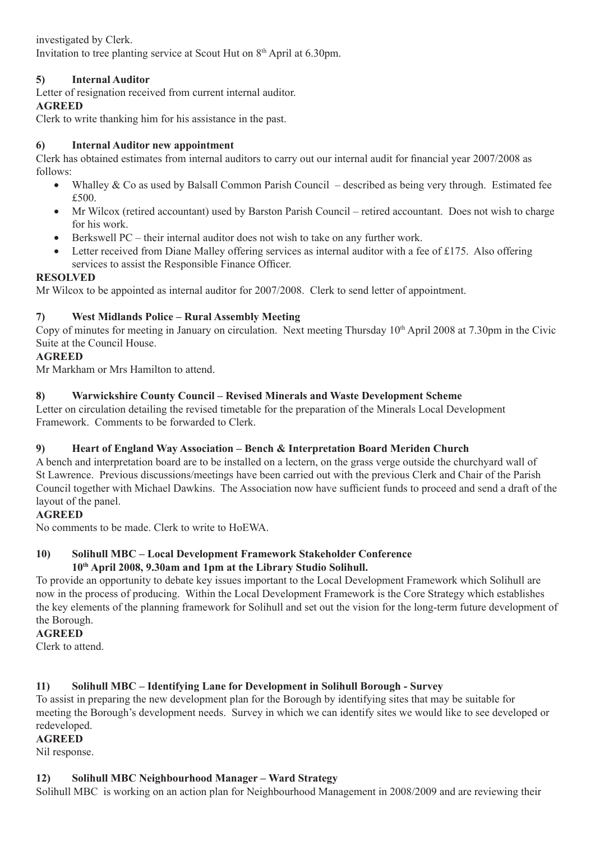investigated by Clerk. Invitation to tree planting service at Scout Hut on 8<sup>th</sup> April at 6.30pm.

# **5) Internal Auditor**

Letter of resignation received from current internal auditor.

### **AGREED**

Clerk to write thanking him for his assistance in the past.

### **6) Internal Auditor new appointment**

Clerk has obtained estimates from internal auditors to carry out our internal audit for financial year 2007/2008 as follows:

- Whalley & Co as used by Balsall Common Parish Council described as being very through. Estimated fee £500.
- Mr Wilcox (retired accountant) used by Barston Parish Council retired accountant. Does not wish to charge for his work.
- Berkswell PC their internal auditor does not wish to take on any further work.
- Letter received from Diane Malley offering services as internal auditor with a fee of £175. Also offering services to assist the Responsible Finance Officer.

### **RESOLVED**

Mr Wilcox to be appointed as internal auditor for 2007/2008. Clerk to send letter of appointment.

### **7) West Midlands Police – Rural Assembly Meeting**

Copy of minutes for meeting in January on circulation. Next meeting Thursday 10<sup>th</sup> April 2008 at 7.30pm in the Civic Suite at the Council House.

### **AGREED**

Mr Markham or Mrs Hamilton to attend.

### **8) Warwickshire County Council – Revised Minerals and Waste Development Scheme**

Letter on circulation detailing the revised timetable for the preparation of the Minerals Local Development Framework. Comments to be forwarded to Clerk.

#### **9) Heart of England Way Association – Bench & Interpretation Board Meriden Church**

A bench and interpretation board are to be installed on a lectern, on the grass verge outside the churchyard wall of St Lawrence. Previous discussions/meetings have been carried out with the previous Clerk and Chair of the Parish Council together with Michael Dawkins. The Association now have sufficient funds to proceed and send a draft of the layout of the panel.

#### **AGREED**

No comments to be made. Clerk to write to HoEWA.

#### **10) Solihull MBC – Local Development Framework Stakeholder Conference 10th April 2008, 9.30am and 1pm at the Library Studio Solihull.**

To provide an opportunity to debate key issues important to the Local Development Framework which Solihull are now in the process of producing. Within the Local Development Framework is the Core Strategy which establishes the key elements of the planning framework for Solihull and set out the vision for the long-term future development of the Borough.

#### **AGREED**

Clerk to attend.

### **11) Solihull MBC – Identifying Lane for Development in Solihull Borough - Survey**

To assist in preparing the new development plan for the Borough by identifying sites that may be suitable for meeting the Borough's development needs. Survey in which we can identify sites we would like to see developed or redeveloped.

#### **AGREED**

Nil response.

#### **12) Solihull MBC Neighbourhood Manager – Ward Strategy**

Solihull MBC is working on an action plan for Neighbourhood Management in 2008/2009 and are reviewing their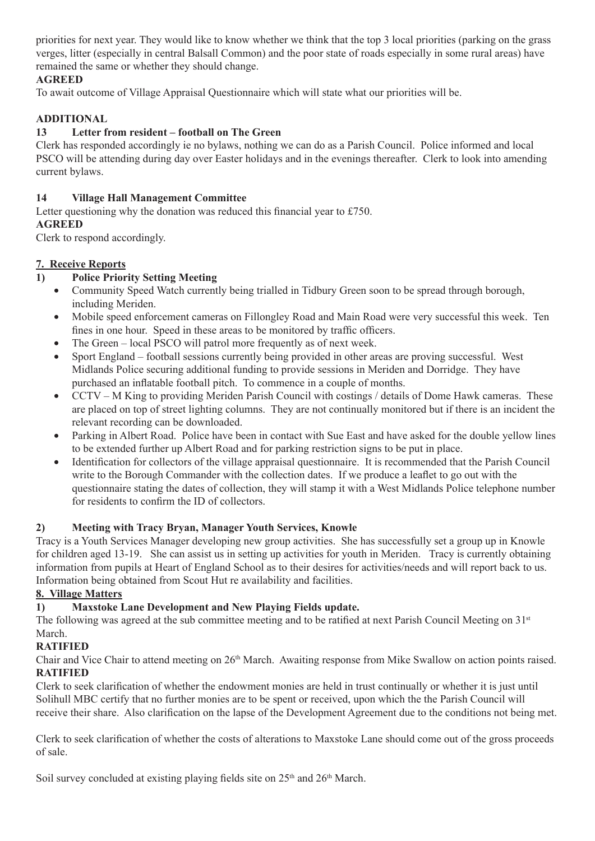priorities for next year. They would like to know whether we think that the top 3 local priorities (parking on the grass verges, litter (especially in central Balsall Common) and the poor state of roads especially in some rural areas) have remained the same or whether they should change.

### **AGREED**

To await outcome of Village Appraisal Questionnaire which will state what our priorities will be.

### **ADDITIONAL**

#### **13 Letter from resident – football on The Green**

Clerk has responded accordingly ie no bylaws, nothing we can do as a Parish Council. Police informed and local PSCO will be attending during day over Easter holidays and in the evenings thereafter. Clerk to look into amending current bylaws.

#### **14 Village Hall Management Committee**

Letter questioning why the donation was reduced this financial year to £750.

#### **AGREED**

Clerk to respond accordingly.

### **7. Receive Reports**

### **1) Police Priority Setting Meeting**

- Community Speed Watch currently being trialled in Tidbury Green soon to be spread through borough, including Meriden.
- Mobile speed enforcement cameras on Fillongley Road and Main Road were very successful this week. Ten fines in one hour. Speed in these areas to be monitored by traffic officers.
- The Green local PSCO will patrol more frequently as of next week.
- Sport England football sessions currently being provided in other areas are proving successful. West Midlands Police securing additional funding to provide sessions in Meriden and Dorridge. They have purchased an inflatable football pitch. To commence in a couple of months.
- CCTV M King to providing Meriden Parish Council with costings / details of Dome Hawk cameras. These are placed on top of street lighting columns. They are not continually monitored but if there is an incident the relevant recording can be downloaded.
- Parking in Albert Road. Police have been in contact with Sue East and have asked for the double yellow lines to be extended further up Albert Road and for parking restriction signs to be put in place.
- Identification for collectors of the village appraisal questionnaire. It is recommended that the Parish Council write to the Borough Commander with the collection dates. If we produce a leaflet to go out with the questionnaire stating the dates of collection, they will stamp it with a West Midlands Police telephone number for residents to confirm the ID of collectors.

### **2) Meeting with Tracy Bryan, Manager Youth Services, Knowle**

Tracy is a Youth Services Manager developing new group activities. She has successfully set a group up in Knowle for children aged 13-19. She can assist us in setting up activities for youth in Meriden. Tracy is currently obtaining information from pupils at Heart of England School as to their desires for activities/needs and will report back to us. Information being obtained from Scout Hut re availability and facilities.

#### **8. Village Matters**

#### **1) Maxstoke Lane Development and New Playing Fields update.**

The following was agreed at the sub committee meeting and to be ratified at next Parish Council Meeting on 31<sup>st</sup> March.

#### **RATIFIED**

Chair and Vice Chair to attend meeting on 26th March. Awaiting response from Mike Swallow on action points raised. **RATIFIED**

Clerk to seek clarification of whether the endowment monies are held in trust continually or whether it is just until Solihull MBC certify that no further monies are to be spent or received, upon which the the Parish Council will receive their share. Also clarification on the lapse of the Development Agreement due to the conditions not being met.

Clerk to seek clarification of whether the costs of alterations to Maxstoke Lane should come out of the gross proceeds of sale.

Soil survey concluded at existing playing fields site on  $25<sup>th</sup>$  and  $26<sup>th</sup>$  March.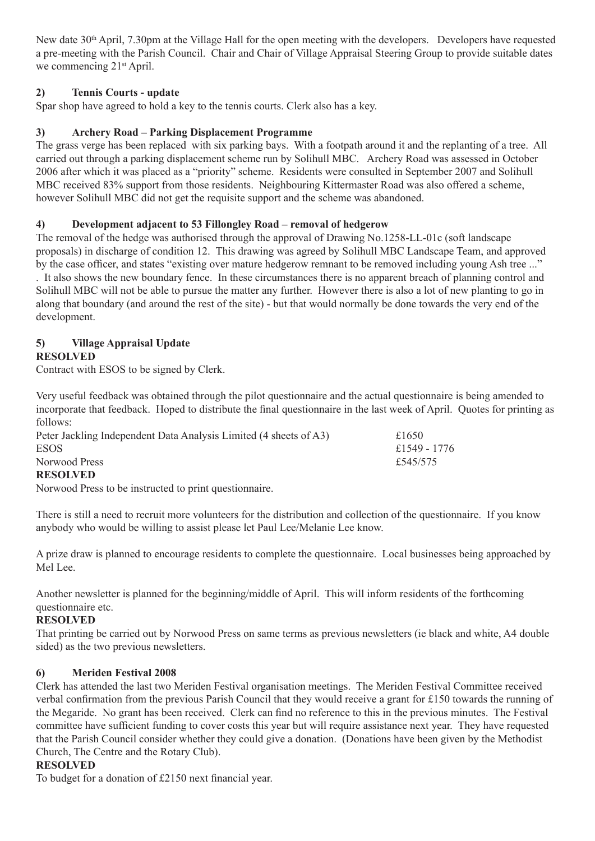New date 30th April, 7.30pm at the Village Hall for the open meeting with the developers. Developers have requested a pre-meeting with the Parish Council. Chair and Chair of Village Appraisal Steering Group to provide suitable dates we commencing 21<sup>st</sup> April.

### **2) Tennis Courts - update**

Spar shop have agreed to hold a key to the tennis courts. Clerk also has a key.

# **3) Archery Road – Parking Displacement Programme**

The grass verge has been replaced with six parking bays. With a footpath around it and the replanting of a tree. All carried out through a parking displacement scheme run by Solihull MBC. Archery Road was assessed in October 2006 after which it was placed as a "priority" scheme. Residents were consulted in September 2007 and Solihull MBC received 83% support from those residents. Neighbouring Kittermaster Road was also offered a scheme, however Solihull MBC did not get the requisite support and the scheme was abandoned.

# **4) Development adjacent to 53 Fillongley Road – removal of hedgerow**

The removal of the hedge was authorised through the approval of Drawing No.1258-LL-01c (soft landscape proposals) in discharge of condition 12. This drawing was agreed by Solihull MBC Landscape Team, and approved by the case officer, and states "existing over mature hedgerow remnant to be removed including young Ash tree ..." . It also shows the new boundary fence. In these circumstances there is no apparent breach of planning control and Solihull MBC will not be able to pursue the matter any further. However there is also a lot of new planting to go in along that boundary (and around the rest of the site) - but that would normally be done towards the very end of the development.

#### **5) Village Appraisal Update RESOLVED**

Contract with ESOS to be signed by Clerk.

Very useful feedback was obtained through the pilot questionnaire and the actual questionnaire is being amended to incorporate that feedback. Hoped to distribute the final questionnaire in the last week of April. Quotes for printing as follows:

| Peter Jackling Independent Data Analysis Limited (4 sheets of A3) | £1650        |
|-------------------------------------------------------------------|--------------|
| <b>ESOS</b>                                                       | £1549 - 1776 |
| Norwood Press                                                     | £545/575     |
| <b>RESOLVED</b>                                                   |              |

Norwood Press to be instructed to print questionnaire.

There is still a need to recruit more volunteers for the distribution and collection of the questionnaire. If you know anybody who would be willing to assist please let Paul Lee/Melanie Lee know.

A prize draw is planned to encourage residents to complete the questionnaire. Local businesses being approached by Mel Lee.

Another newsletter is planned for the beginning/middle of April. This will inform residents of the forthcoming questionnaire etc.

### **RESOLVED**

That printing be carried out by Norwood Press on same terms as previous newsletters (ie black and white, A4 double sided) as the two previous newsletters.

### **6) Meriden Festival 2008**

Clerk has attended the last two Meriden Festival organisation meetings. The Meriden Festival Committee received verbal confirmation from the previous Parish Council that they would receive a grant for £150 towards the running of the Megaride. No grant has been received. Clerk can find no reference to this in the previous minutes. The Festival committee have sufficient funding to cover costs this year but will require assistance next year. They have requested that the Parish Council consider whether they could give a donation. (Donations have been given by the Methodist Church, The Centre and the Rotary Club).

### **RESOLVED**

To budget for a donation of £2150 next financial year.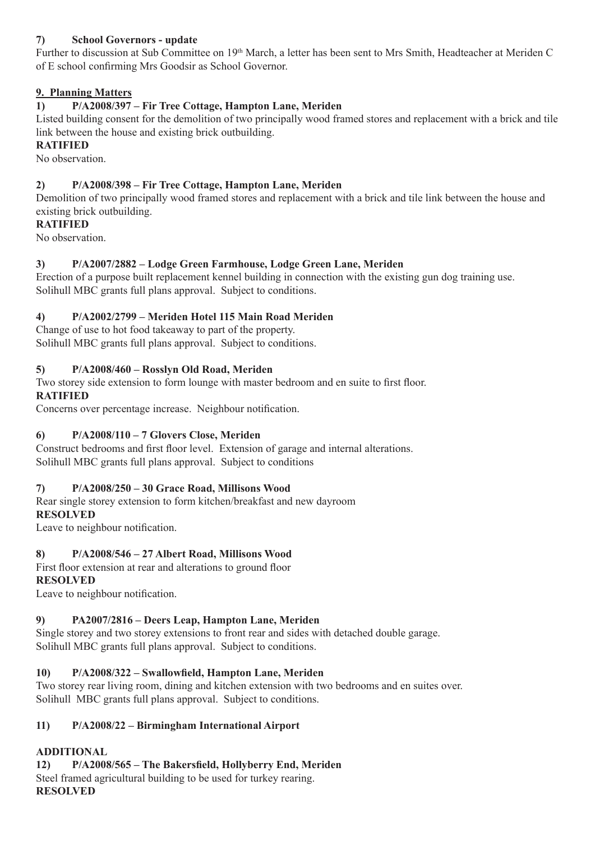# **7) School Governors - update**

Further to discussion at Sub Committee on 19<sup>th</sup> March, a letter has been sent to Mrs Smith, Headteacher at Meriden C of E school confirming Mrs Goodsir as School Governor.

### **9. Planning Matters**

### **1) P/A2008/397 – Fir Tree Cottage, Hampton Lane, Meriden**

Listed building consent for the demolition of two principally wood framed stores and replacement with a brick and tile link between the house and existing brick outbuilding.

### **RATIFIED**

No observation.

### **2) P/A2008/398 – Fir Tree Cottage, Hampton Lane, Meriden**

Demolition of two principally wood framed stores and replacement with a brick and tile link between the house and existing brick outbuilding.

### **RATIFIED**

No observation.

### **3) P/A2007/2882 – Lodge Green Farmhouse, Lodge Green Lane, Meriden**

Erection of a purpose built replacement kennel building in connection with the existing gun dog training use. Solihull MBC grants full plans approval. Subject to conditions.

### **4) P/A2002/2799 – Meriden Hotel 115 Main Road Meriden**

Change of use to hot food takeaway to part of the property. Solihull MBC grants full plans approval. Subject to conditions.

### **5) P/A2008/460 – Rosslyn Old Road, Meriden**

Two storey side extension to form lounge with master bedroom and en suite to first floor. **RATIFIED**

Concerns over percentage increase. Neighbour notification.

### **6) P/A2008/110 – 7 Glovers Close, Meriden**

Construct bedrooms and first floor level. Extension of garage and internal alterations. Solihull MBC grants full plans approval. Subject to conditions

#### **7) P/A2008/250 – 30 Grace Road, Millisons Wood**

Rear single storey extension to form kitchen/breakfast and new dayroom

#### **RESOLVED**

Leave to neighbour notification.

#### **8) P/A2008/546 – 27 Albert Road, Millisons Wood**

First floor extension at rear and alterations to ground floor **RESOLVED**

Leave to neighbour notification.

### **9) PA2007/2816 – Deers Leap, Hampton Lane, Meriden**

Single storey and two storey extensions to front rear and sides with detached double garage. Solihull MBC grants full plans approval. Subject to conditions.

#### **10) P/A2008/322 – Swallowfield, Hampton Lane, Meriden**

Two storey rear living room, dining and kitchen extension with two bedrooms and en suites over. Solihull MBC grants full plans approval. Subject to conditions.

#### **11) P/A2008/22 – Birmingham International Airport**

### **ADDITIONAL**

**12) P/A2008/565 – The Bakersfield, Hollyberry End, Meriden** Steel framed agricultural building to be used for turkey rearing. **RESOLVED**